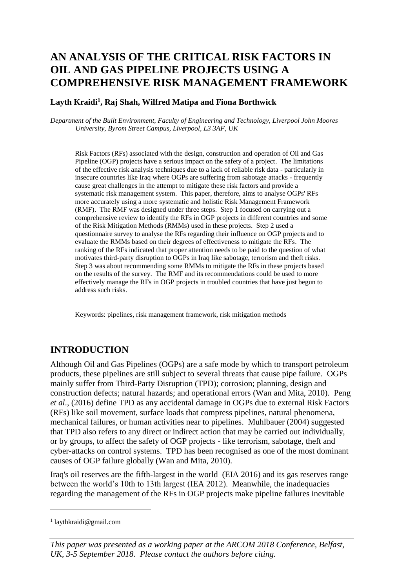# **AN ANALYSIS OF THE CRITICAL RISK FACTORS IN OIL AND GAS PIPELINE PROJECTS USING A COMPREHENSIVE RISK MANAGEMENT FRAMEWORK**

#### **Layth Kraidi<sup>1</sup> , Raj Shah, Wilfred Matipa and Fiona Borthwick**

*Department of the Built Environment, Faculty of Engineering and Technology, Liverpool John Moores University, Byrom Street Campus, Liverpool, L3 3AF, UK*

Risk Factors (RFs) associated with the design, construction and operation of Oil and Gas Pipeline (OGP) projects have a serious impact on the safety of a project. The limitations of the effective risk analysis techniques due to a lack of reliable risk data - particularly in insecure countries like Iraq where OGPs are suffering from sabotage attacks - frequently cause great challenges in the attempt to mitigate these risk factors and provide a systematic risk management system. This paper, therefore, aims to analyse OGPs' RFs more accurately using a more systematic and holistic Risk Management Framework (RMF). The RMF was designed under three steps. Step 1 focused on carrying out a comprehensive review to identify the RFs in OGP projects in different countries and some of the Risk Mitigation Methods (RMMs) used in these projects. Step 2 used a questionnaire survey to analyse the RFs regarding their influence on OGP projects and to evaluate the RMMs based on their degrees of effectiveness to mitigate the RFs. The ranking of the RFs indicated that proper attention needs to be paid to the question of what motivates third-party disruption to OGPs in Iraq like sabotage, terrorism and theft risks. Step 3 was about recommending some RMMs to mitigate the RFs in these projects based on the results of the survey. The RMF and its recommendations could be used to more effectively manage the RFs in OGP projects in troubled countries that have just begun to address such risks.

Keywords: pipelines, risk management framework, risk mitigation methods

## **INTRODUCTION**

Although Oil and Gas Pipelines (OGPs) are a safe mode by which to transport petroleum products, these pipelines are still subject to several threats that cause pipe failure. OGPs mainly suffer from Third-Party Disruption (TPD); corrosion; planning, design and construction defects; natural hazards; and operational errors (Wan and Mita, 2010). Peng *et al*., (2016) define TPD as any accidental damage in OGPs due to external Risk Factors (RFs) like soil movement, surface loads that compress pipelines, natural phenomena, mechanical failures, or human activities near to pipelines. Muhlbauer (2004) suggested that TPD also refers to any direct or indirect action that may be carried out individually, or by groups, to affect the safety of OGP projects - like terrorism, sabotage, theft and cyber-attacks on control systems. TPD has been recognised as one of the most dominant causes of OGP failure globally (Wan and Mita, 2010).

Iraq's oil reserves are the fifth-largest in the world (EIA 2016) and its gas reserves range between the world's 10th to 13th largest (IEA 2012). Meanwhile, the inadequacies regarding the management of the RFs in OGP projects make pipeline failures inevitable

1

*This paper was presented as a working paper at the ARCOM 2018 Conference, Belfast, UK, 3-5 September 2018. Please contact the authors before citing.*

<sup>1</sup> laythkraidi@gmail.com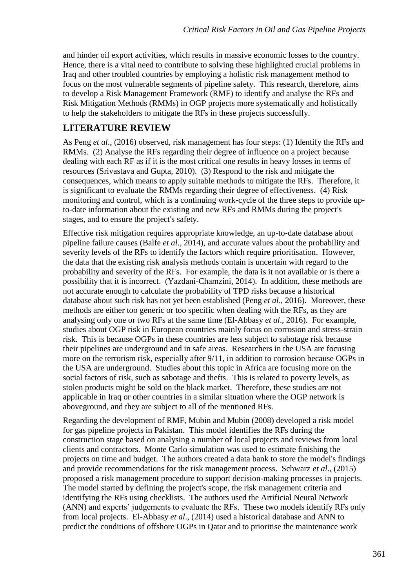and hinder oil export activities, which results in massive economic losses to the country. Hence, there is a vital need to contribute to solving these highlighted crucial problems in Iraq and other troubled countries by employing a holistic risk management method to focus on the most vulnerable segments of pipeline safety. This research, therefore, aims to develop a Risk Management Framework (RMF) to identify and analyse the RFs and Risk Mitigation Methods (RMMs) in OGP projects more systematically and holistically to help the stakeholders to mitigate the RFs in these projects successfully.

### **LITERATURE REVIEW**

As Peng *et al*., (2016) observed, risk management has four steps: (1) Identify the RFs and RMMs. (2) Analyse the RFs regarding their degree of influence on a project because dealing with each RF as if it is the most critical one results in heavy losses in terms of resources (Srivastava and Gupta, 2010). (3) Respond to the risk and mitigate the consequences, which means to apply suitable methods to mitigate the RFs. Therefore, it is significant to evaluate the RMMs regarding their degree of effectiveness. (4) Risk monitoring and control, which is a continuing work-cycle of the three steps to provide upto-date information about the existing and new RFs and RMMs during the project's stages, and to ensure the project's safety.

Effective risk mitigation requires appropriate knowledge, an up-to-date database about pipeline failure causes (Balfe *et al*., 2014), and accurate values about the probability and severity levels of the RFs to identify the factors which require prioritisation. However, the data that the existing risk analysis methods contain is uncertain with regard to the probability and severity of the RFs. For example, the data is it not available or is there a possibility that it is incorrect. (Yazdani-Chamzini, 2014). In addition, these methods are not accurate enough to calculate the probability of TPD risks because a historical database about such risk has not yet been established (Peng *et al*., 2016). Moreover, these methods are either too generic or too specific when dealing with the RFs, as they are analysing only one or two RFs at the same time (El-Abbasy *et al*., 2016). For example, studies about OGP risk in European countries mainly focus on corrosion and stress-strain risk. This is because OGPs in these countries are less subject to sabotage risk because their pipelines are underground and in safe areas. Researchers in the USA are focusing more on the terrorism risk, especially after 9/11, in addition to corrosion because OGPs in the USA are underground. Studies about this topic in Africa are focusing more on the social factors of risk, such as sabotage and thefts. This is related to poverty levels, as stolen products might be sold on the black market. Therefore, these studies are not applicable in Iraq or other countries in a similar situation where the OGP network is aboveground, and they are subject to all of the mentioned RFs.

Regarding the development of RMF, Mubin and Mubin (2008) developed a risk model for gas pipeline projects in Pakistan. This model identifies the RFs during the construction stage based on analysing a number of local projects and reviews from local clients and contractors. Monte Carlo simulation was used to estimate finishing the projects on time and budget. The authors created a data bank to store the model's findings and provide recommendations for the risk management process. Schwarz *et al*., (2015) proposed a risk management procedure to support decision-making processes in projects. The model started by defining the project's scope, the risk management criteria and identifying the RFs using checklists. The authors used the Artificial Neural Network (ANN) and experts' judgements to evaluate the RFs. These two models identify RFs only from local projects. El-Abbasy *et al*., (2014) used a historical database and ANN to predict the conditions of offshore OGPs in Qatar and to prioritise the maintenance work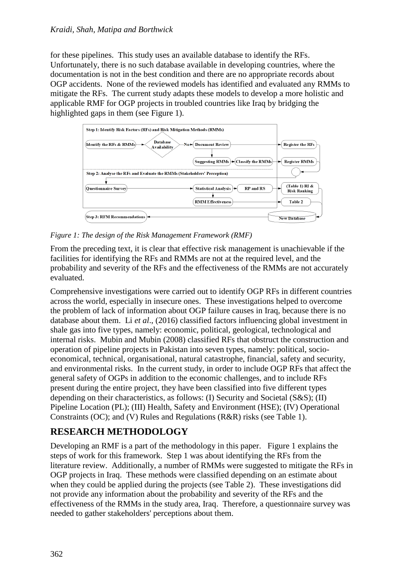for these pipelines. This study uses an available database to identify the RFs. Unfortunately, there is no such database available in developing countries, where the documentation is not in the best condition and there are no appropriate records about OGP accidents. None of the reviewed models has identified and evaluated any RMMs to mitigate the RFs. The current study adapts these models to develop a more holistic and applicable RMF for OGP projects in troubled countries like Iraq by bridging the highlighted gaps in them (see Figure 1).



*Figure 1: The design of the Risk Management Framework (RMF)*

From the preceding text, it is clear that effective risk management is unachievable if the facilities for identifying the RFs and RMMs are not at the required level, and the probability and severity of the RFs and the effectiveness of the RMMs are not accurately evaluated.

Comprehensive investigations were carried out to identify OGP RFs in different countries across the world, especially in insecure ones. These investigations helped to overcome the problem of lack of information about OGP failure causes in Iraq, because there is no database about them. Li *et al*., (2016) classified factors influencing global investment in shale gas into five types, namely: economic, political, geological, technological and internal risks. Mubin and Mubin (2008) classified RFs that obstruct the construction and operation of pipeline projects in Pakistan into seven types, namely: political, socioeconomical, technical, organisational, natural catastrophe, financial, safety and security, and environmental risks. In the current study, in order to include OGP RFs that affect the general safety of OGPs in addition to the economic challenges, and to include RFs present during the entire project, they have been classified into five different types depending on their characteristics, as follows: (I) Security and Societal (S&S); (II) Pipeline Location (PL); (III) Health, Safety and Environment (HSE); (IV) Operational Constraints (OC); and (V) Rules and Regulations (R&R) risks (see Table 1).

# **RESEARCH METHODOLOGY**

Developing an RMF is a part of the methodology in this paper. Figure 1 explains the steps of work for this framework. Step 1 was about identifying the RFs from the literature review. Additionally, a number of RMMs were suggested to mitigate the RFs in OGP projects in Iraq. These methods were classified depending on an estimate about when they could be applied during the projects (see Table 2). These investigations did not provide any information about the probability and severity of the RFs and the effectiveness of the RMMs in the study area, Iraq. Therefore, a questionnaire survey was needed to gather stakeholders' perceptions about them.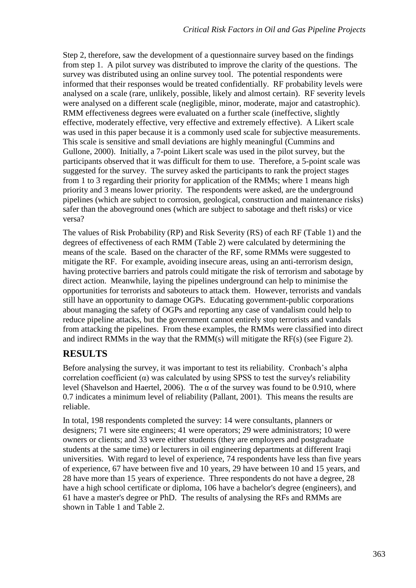Step 2, therefore, saw the development of a questionnaire survey based on the findings from step 1. A pilot survey was distributed to improve the clarity of the questions. The survey was distributed using an online survey tool. The potential respondents were informed that their responses would be treated confidentially. RF probability levels were analysed on a scale (rare, unlikely, possible, likely and almost certain). RF severity levels were analysed on a different scale (negligible, minor, moderate, major and catastrophic). RMM effectiveness degrees were evaluated on a further scale (ineffective, slightly effective, moderately effective, very effective and extremely effective). A Likert scale was used in this paper because it is a commonly used scale for subjective measurements. This scale is sensitive and small deviations are highly meaningful (Cummins and Gullone, 2000). Initially, a 7-point Likert scale was used in the pilot survey, but the participants observed that it was difficult for them to use. Therefore, a 5-point scale was suggested for the survey. The survey asked the participants to rank the project stages from 1 to 3 regarding their priority for application of the RMMs; where 1 means high priority and 3 means lower priority. The respondents were asked, are the underground pipelines (which are subject to corrosion, geological, construction and maintenance risks) safer than the aboveground ones (which are subject to sabotage and theft risks) or vice versa?

The values of Risk Probability (RP) and Risk Severity (RS) of each RF (Table 1) and the degrees of effectiveness of each RMM (Table 2) were calculated by determining the means of the scale. Based on the character of the RF, some RMMs were suggested to mitigate the RF. For example, avoiding insecure areas, using an anti-terrorism design, having protective barriers and patrols could mitigate the risk of terrorism and sabotage by direct action. Meanwhile, laying the pipelines underground can help to minimise the opportunities for terrorists and saboteurs to attack them. However, terrorists and vandals still have an opportunity to damage OGPs. Educating government-public corporations about managing the safety of OGPs and reporting any case of vandalism could help to reduce pipeline attacks, but the government cannot entirely stop terrorists and vandals from attacking the pipelines. From these examples, the RMMs were classified into direct and indirect RMMs in the way that the RMM(s) will mitigate the RF(s) (see Figure 2).

## **RESULTS**

Before analysing the survey, it was important to test its reliability. Cronbach's alpha correlation coefficient  $(\alpha)$  was calculated by using SPSS to test the survey's reliability level (Shavelson and Haertel, 2006). The α of the survey was found to be 0.910, where 0.7 indicates a minimum level of reliability (Pallant, 2001). This means the results are reliable.

In total, 198 respondents completed the survey: 14 were consultants, planners or designers; 71 were site engineers; 41 were operators; 29 were administrators; 10 were owners or clients; and 33 were either students (they are employers and postgraduate students at the same time) or lecturers in oil engineering departments at different Iraqi universities. With regard to level of experience, 74 respondents have less than five years of experience, 67 have between five and 10 years, 29 have between 10 and 15 years, and 28 have more than 15 years of experience. Three respondents do not have a degree, 28 have a high school certificate or diploma, 106 have a bachelor's degree (engineers), and 61 have a master's degree or PhD. The results of analysing the RFs and RMMs are shown in Table 1 and Table 2.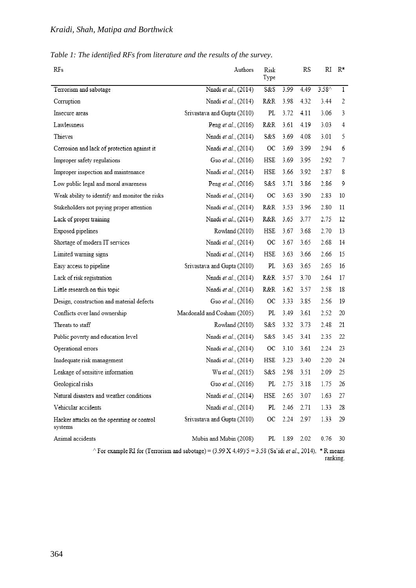|  |  |  | Table 1: The identified RFs from literature and the results of the survey. |  |
|--|--|--|----------------------------------------------------------------------------|--|
|  |  |  |                                                                            |  |

| RFs                                                                                                                | Authors                     | Risk<br>Type |      | RS   | RI              | $R^*$        |
|--------------------------------------------------------------------------------------------------------------------|-----------------------------|--------------|------|------|-----------------|--------------|
| Terrorism and sabotage                                                                                             | Nnadi et al., (2014)        | S&S          | 3.99 | 4.49 | $3.58^{\wedge}$ | $\mathbf{1}$ |
| Corruption                                                                                                         | Nnadi et al., (2014)        | R&R          | 3.98 | 4.32 | 3.44            | 2            |
| Insecure areas                                                                                                     | Srivastava and Gupta (2010) | PL           | 3.72 | 4.11 | 3.06            | 3            |
| Lawlessness                                                                                                        | Peng et al., (2016)         | R&R          | 3.61 | 4.19 | 3.03            | 4            |
| Thieves                                                                                                            | Nnadi et al., (2014)        | S&S          | 3.69 | 4.08 | 3.01            | 5            |
| Corrosion and lack of protection against it                                                                        | Nnadi et al., (2014)        | ОC           | 3.69 | 3.99 | 2.94            | 6            |
| Improper safety regulations                                                                                        | Guo et al., (2016)          | HSE          | 3.69 | 3.95 | 2.92            | 7            |
| Improper inspection and maintenance                                                                                | Nnadi et al., (2014)        | HSE          | 3.66 | 3.92 | 2.87            | 8            |
| Low public legal and moral awareness                                                                               | Peng et al., (2016)         | S&S          | 3.71 | 3.86 | 2.86            | 9            |
| Weak ability to identify and monitor the risks                                                                     | Nnadi et al., (2014)        | ОC           | 3.63 | 3.90 | 2.83            | 10           |
| Stakeholders not paying proper attention                                                                           | Nnadi et al., (2014)        | R&R          | 3.53 | 3.96 | 2.80            | 11           |
| Lack of proper training                                                                                            | Nnadi et al., (2014)        | R&R          | 3.65 | 3.77 | 2.75            | 12           |
| Exposed pipelines                                                                                                  | Rowland (2010)              | HSE          | 3.67 | 3.68 | 2.70            | 13           |
| Shortage of modern IT services                                                                                     | Nnadi et al., (2014)        | ОC           | 3.67 | 3.65 | 2.68            | 14           |
| Limited warning signs                                                                                              | Nnadi et al., (2014)        | HSE          | 3.63 | 3.66 | 2.66            | 15           |
| Easy access to pipeline                                                                                            | Srivastava and Gupta (2010) | PL           | 3.63 | 3.65 | 2.65            | 16           |
| Lack of risk registration                                                                                          | Nnadi et al., (2014)        | R&R          | 3.57 | 3.70 | 2.64            | 17           |
| Little research on this topic                                                                                      | Nnadi et al., (2014)        | R&R          | 3.62 | 3.57 | 2.58            | 18           |
| Design, construction and material defects                                                                          | Guo et al., (2016)          | ОC           | 3.33 | 3.85 | 2.56            | 19           |
| Conflicts over land ownership                                                                                      | Macdonald and Cosham (2005) | PL           | 3.49 | 3.61 | 2.52            | 20           |
| Threats to staff                                                                                                   | Rowland (2010)              | S&S          | 3.32 | 3.73 | 2.48            | 21           |
| Public poverty and education level                                                                                 | Nnadi et al., (2014)        | S&S          | 3.45 | 3.41 | 2.35            | 22           |
| Operational errors                                                                                                 | Nnadi et al., (2014)        | ОC           | 3.10 | 3.61 | 2.24            | 23           |
| Inadequate risk management                                                                                         | Nnadi et al., (2014)        | HSE          | 3.23 | 3.40 | 2.20            | 24           |
| Leakage of sensitive information                                                                                   | Wu et al., (2015)           | S&S          | 2.98 | 3.51 | 2.09            | 25           |
| Geological risks                                                                                                   | Guo et al., (2016)          | PL           | 2.75 | 3.18 | 1.75            | 26           |
| Natural disasters and weather conditions                                                                           | Nnadi et al., (2014)        | HSE          | 2.65 | 3.07 | 1.63            | 27           |
| Vehicular accidents                                                                                                | Nnadi et al., (2014)        | PL           | 2.46 | 2.71 | 1.33            | 28           |
| Hacker attacks on the operating or control<br>systems                                                              | Srivastava and Gupta (2010) | OС           | 2.24 | 2.97 | 1.33            | 29           |
| Animal accidents                                                                                                   | Mubin and Mubin (2008)      | PL           | 1.89 | 2.02 | 0.76            | 30           |
| ^ For example RI for (Terrorism and sabotage) = $(3.99 \text{ X } 4.49)/5 = 3.58$ (Sa'idi et al., 2014). * R means |                             |              |      |      |                 |              |

ranking.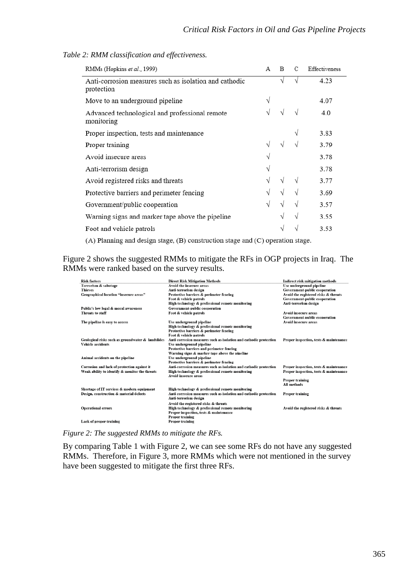| RMMs (Hopkins et al., 1999)                                          | А | B | C | Effectiveness |
|----------------------------------------------------------------------|---|---|---|---------------|
| Anti-corrosion measures such as isolation and cathodic<br>protection |   | V | V | 4.23          |
| Move to an underground pipeline                                      | V |   |   | 4.07          |
| Advanced technological and professional remote<br>monitoring         | V | V | V | 4.0           |
| Proper inspection, tests and maintenance                             |   |   | V | 3.83          |
| Proper training                                                      | V | V |   | 3.79          |
| Avoid insecure areas                                                 | V |   |   | 3.78          |
| Anti-terrorism design                                                | V |   |   | 3.78          |
| Avoid registered risks and threats                                   | V | V | V | 3.77          |
| Protective barriers and perimeter fencing                            | V | V | V | 3.69          |
| Government/public cooperation                                        | V | V | V | 3.57          |
| Warning signs and marker tape above the pipeline                     |   | V | V | 3.55          |
| Foot and vehicle patrols                                             |   | V | V | 3.53          |
|                                                                      |   |   |   |               |

*Table 2: RMM classification and effectiveness.*

 $(A)$  Planning and design stage,  $(B)$  construction stage and  $(C)$  operation stage.

Figure 2 shows the suggested RMMs to mitigate the RFs in OGP projects in Iraq. The RMMs were ranked based on the survey results.

| <b>Risk factors</b>                               | <b>Direct Risk Mitigation Methods</b>                             | <b>Indirect risk mitigation methods</b> |  |  |
|---------------------------------------------------|-------------------------------------------------------------------|-----------------------------------------|--|--|
| Terrorism & sabotage                              | Avoid the insecure areas                                          | Use underground pipeline                |  |  |
| <b>Thieves</b>                                    | Anti-terrorism design                                             | Government-public cooperation           |  |  |
| <b>Geographical location "insecure areas"</b>     | Protective barriers & perimeter fencing                           | Avoid the registered risks & threats    |  |  |
|                                                   | Foot & vehicle patrols                                            | Government-public cooperation           |  |  |
|                                                   | High technology & professional remote monitoring                  | Anti-terrorism design                   |  |  |
| Public's low legal & moral awareness              | <b>Government-public cooperation</b>                              |                                         |  |  |
| <b>Threats to staff</b>                           | Foot & vehicle patrols                                            | Avoid insecure areas                    |  |  |
|                                                   |                                                                   | <b>Government-public cooperation</b>    |  |  |
| The pipeline is easy to access                    | Use underground pipeline                                          | <b>Avoid insecure areas</b>             |  |  |
|                                                   | High technology & professional remote monitoring                  |                                         |  |  |
|                                                   | Protective barriers & perimeter fencing                           |                                         |  |  |
|                                                   | Foot & vehicle patrols                                            |                                         |  |  |
| Geological risks such as groundwater & landslides | Anti-corrosion measures such as isolation and cathodic protection | Proper inspection, tests & maintenance  |  |  |
| Vehicle accidents                                 | Use underground pipeline                                          |                                         |  |  |
|                                                   | Protective barriers and perimeter fencing                         |                                         |  |  |
|                                                   | Warning signs & marker tape above the pipeline                    |                                         |  |  |
| Animal accidents on the pipeline                  | Use underground pipeline                                          |                                         |  |  |
|                                                   | Protective barriers & perimeter fencing                           |                                         |  |  |
| Corrosion and lack of protection against it       | Anti-corrosion measures such as isolation and cathodic protection | Proper inspection, tests & maintenance  |  |  |
| Weak ability to identify & monitor the threats    | High technology & professional remote monitoring                  | Proper inspection, tests & maintenance  |  |  |
|                                                   | Avoid insecure areas                                              |                                         |  |  |
|                                                   |                                                                   | Proper training                         |  |  |
|                                                   |                                                                   | All methods                             |  |  |
| Shortage of IT services & modern equipment        | High technology & professional remote monitoring                  |                                         |  |  |
| Design, construction & material defects           | Anti-corrosion measures such as isolation and cathodic protection | Proper training                         |  |  |
|                                                   | Anti-terrorism design                                             |                                         |  |  |
|                                                   | Avoid the registered risks & threats                              |                                         |  |  |
| <b>Operational errors</b>                         | High technology & professional remote monitoring                  | Avoid the registered risks & threats    |  |  |
|                                                   | Proper inspection, tests & maintenance                            |                                         |  |  |
|                                                   | Proper training                                                   |                                         |  |  |
| <b>Lack of proper training</b>                    | <b>Proper training</b>                                            |                                         |  |  |
|                                                   |                                                                   |                                         |  |  |

*Figure 2: The suggested RMMs to mitigate the RFs.*

By comparing Table 1 with Figure 2, we can see some RFs do not have any suggested RMMs. Therefore, in Figure 3, more RMMs which were not mentioned in the survey have been suggested to mitigate the first three RFs.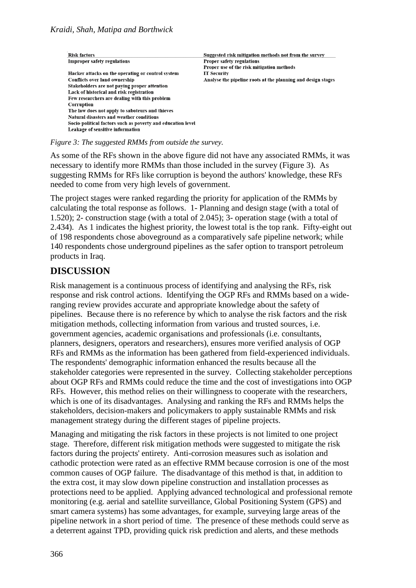| <b>Risk factors</b>                                         | Suggested risk mitigation methods not from the survey        |
|-------------------------------------------------------------|--------------------------------------------------------------|
| <b>Improper safety regulations</b>                          | Proper safety regulations                                    |
|                                                             | Proper use of the risk mitigation methods                    |
| Hacker attacks on the operating or control system           | <b>IT Security</b>                                           |
| Conflicts over land ownership                               | Analyse the pipeline roots at the planning and design stages |
| Stakeholders are not paying proper attention                |                                                              |
| Lack of historical and risk registration                    |                                                              |
| Few researchers are dealing with this problem               |                                                              |
| Corruption                                                  |                                                              |
| The law does not apply to saboteurs and thieves             |                                                              |
| <b>Natural disasters and weather conditions</b>             |                                                              |
| Socio-political factors such as poverty and education level |                                                              |
| Leakage of sensitive information                            |                                                              |

#### *Figure 3: The suggested RMMs from outside the survey.*

As some of the RFs shown in the above figure did not have any associated RMMs, it was necessary to identify more RMMs than those included in the survey (Figure 3). As suggesting RMMs for RFs like corruption is beyond the authors' knowledge, these RFs needed to come from very high levels of government.

The project stages were ranked regarding the priority for application of the RMMs by calculating the total response as follows. 1- Planning and design stage (with a total of 1.520); 2- construction stage (with a total of 2.045); 3- operation stage (with a total of 2.434). As 1 indicates the highest priority, the lowest total is the top rank. Fifty-eight out of 198 respondents chose aboveground as a comparatively safe pipeline network; while 140 respondents chose underground pipelines as the safer option to transport petroleum products in Iraq.

#### **DISCUSSION**

Risk management is a continuous process of identifying and analysing the RFs, risk response and risk control actions. Identifying the OGP RFs and RMMs based on a wideranging review provides accurate and appropriate knowledge about the safety of pipelines. Because there is no reference by which to analyse the risk factors and the risk mitigation methods, collecting information from various and trusted sources, i.e. government agencies, academic organisations and professionals (i.e. consultants, planners, designers, operators and researchers), ensures more verified analysis of OGP RFs and RMMs as the information has been gathered from field-experienced individuals. The respondents' demographic information enhanced the results because all the stakeholder categories were represented in the survey. Collecting stakeholder perceptions about OGP RFs and RMMs could reduce the time and the cost of investigations into OGP RFs. However, this method relies on their willingness to cooperate with the researchers, which is one of its disadvantages. Analysing and ranking the RFs and RMMs helps the stakeholders, decision-makers and policymakers to apply sustainable RMMs and risk management strategy during the different stages of pipeline projects.

Managing and mitigating the risk factors in these projects is not limited to one project stage. Therefore, different risk mitigation methods were suggested to mitigate the risk factors during the projects' entirety. Anti-corrosion measures such as isolation and cathodic protection were rated as an effective RMM because corrosion is one of the most common causes of OGP failure. The disadvantage of this method is that, in addition to the extra cost, it may slow down pipeline construction and installation processes as protections need to be applied. Applying advanced technological and professional remote monitoring (e.g. aerial and satellite surveillance, Global Positioning System (GPS) and smart camera systems) has some advantages, for example, surveying large areas of the pipeline network in a short period of time. The presence of these methods could serve as a deterrent against TPD, providing quick risk prediction and alerts, and these methods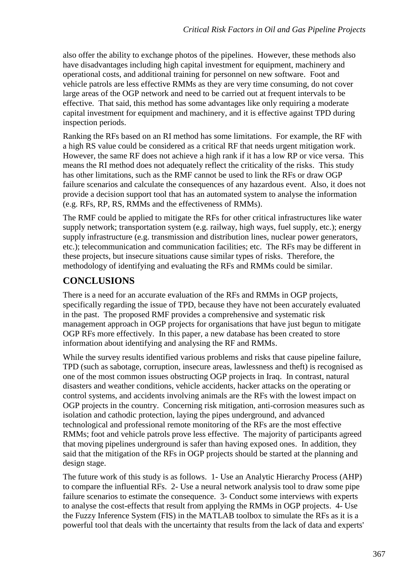also offer the ability to exchange photos of the pipelines. However, these methods also have disadvantages including high capital investment for equipment, machinery and operational costs, and additional training for personnel on new software. Foot and vehicle patrols are less effective RMMs as they are very time consuming, do not cover large areas of the OGP network and need to be carried out at frequent intervals to be effective. That said, this method has some advantages like only requiring a moderate capital investment for equipment and machinery, and it is effective against TPD during inspection periods.

Ranking the RFs based on an RI method has some limitations. For example, the RF with a high RS value could be considered as a critical RF that needs urgent mitigation work. However, the same RF does not achieve a high rank if it has a low RP or vice versa. This means the RI method does not adequately reflect the criticality of the risks. This study has other limitations, such as the RMF cannot be used to link the RFs or draw OGP failure scenarios and calculate the consequences of any hazardous event. Also, it does not provide a decision support tool that has an automated system to analyse the information (e.g. RFs, RP, RS, RMMs and the effectiveness of RMMs).

The RMF could be applied to mitigate the RFs for other critical infrastructures like water supply network; transportation system (e.g. railway, high ways, fuel supply, etc.); energy supply infrastructure (e.g. transmission and distribution lines, nuclear power generators, etc.); telecommunication and communication facilities; etc. The RFs may be different in these projects, but insecure situations cause similar types of risks. Therefore, the methodology of identifying and evaluating the RFs and RMMs could be similar.

# **CONCLUSIONS**

There is a need for an accurate evaluation of the RFs and RMMs in OGP projects, specifically regarding the issue of TPD, because they have not been accurately evaluated in the past. The proposed RMF provides a comprehensive and systematic risk management approach in OGP projects for organisations that have just begun to mitigate OGP RFs more effectively. In this paper, a new database has been created to store information about identifying and analysing the RF and RMMs.

While the survey results identified various problems and risks that cause pipeline failure, TPD (such as sabotage, corruption, insecure areas, lawlessness and theft) is recognised as one of the most common issues obstructing OGP projects in Iraq. In contrast, natural disasters and weather conditions, vehicle accidents, hacker attacks on the operating or control systems, and accidents involving animals are the RFs with the lowest impact on OGP projects in the country. Concerning risk mitigation, anti-corrosion measures such as isolation and cathodic protection, laying the pipes underground, and advanced technological and professional remote monitoring of the RFs are the most effective RMMs; foot and vehicle patrols prove less effective. The majority of participants agreed that moving pipelines underground is safer than having exposed ones. In addition, they said that the mitigation of the RFs in OGP projects should be started at the planning and design stage.

The future work of this study is as follows. 1- Use an Analytic Hierarchy Process (AHP) to compare the influential RFs. 2- Use a neural network analysis tool to draw some pipe failure scenarios to estimate the consequence. 3- Conduct some interviews with experts to analyse the cost-effects that result from applying the RMMs in OGP projects. 4- Use the Fuzzy Inference System (FIS) in the MATLAB toolbox to simulate the RFs as it is a powerful tool that deals with the uncertainty that results from the lack of data and experts'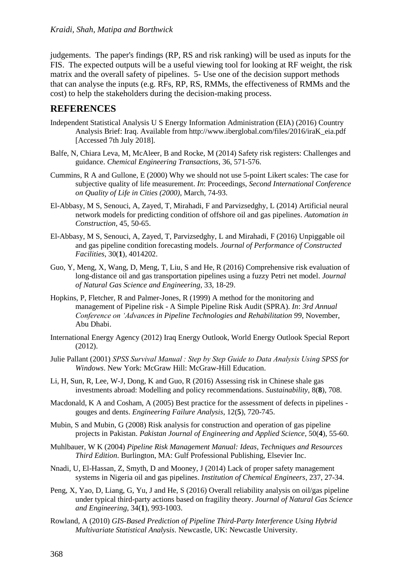judgements. The paper's findings (RP, RS and risk ranking) will be used as inputs for the FIS. The expected outputs will be a useful viewing tool for looking at RF weight, the risk matrix and the overall safety of pipelines. 5- Use one of the decision support methods that can analyse the inputs (e.g. RFs, RP, RS, RMMs, the effectiveness of RMMs and the cost) to help the stakeholders during the decision-making process.

#### **REFERENCES**

- Independent Statistical Analysis U S Energy Information Administration (EIA) (2016) Country Analysis Brief: Iraq. Available from http://www.iberglobal.com/files/2016/iraK\_eia.pdf [Accessed 7th July 2018].
- Balfe, N, Chiara Leva, M, McAleer, B and Rocke, M (2014) Safety risk registers: Challenges and guidance. *Chemical Engineering Transactions*, 36, 571-576.
- Cummins, R A and Gullone, E (2000) Why we should not use 5-point Likert scales: The case for subjective quality of life measurement. *In*: Proceedings, *Second International Conference on Quality of Life in Cities (2000)*, March, 74-93.
- El-Abbasy, M S, Senouci, A, Zayed, T, Mirahadi, F and Parvizsedghy, L (2014) Artificial neural network models for predicting condition of offshore oil and gas pipelines. *Automation in Construction*, 45, 50-65.
- El-Abbasy, M S, Senouci, A, Zayed, T, Parvizsedghy, L and Mirahadi, F (2016) Unpiggable oil and gas pipeline condition forecasting models. *Journal of Performance of Constructed Facilities*, 30(**1**), 4014202.
- Guo, Y, Meng, X, Wang, D, Meng, T, Liu, S and He, R (2016) Comprehensive risk evaluation of long-distance oil and gas transportation pipelines using a fuzzy Petri net model. *Journal of Natural Gas Science and Engineering*, 33, 18-29.
- Hopkins, P, Fletcher, R and Palmer-Jones, R (1999) A method for the monitoring and management of Pipeline risk - A Simple Pipeline Risk Audit (SPRA). *In*: *3rd Annual Conference on 'Advances in Pipeline Technologies and Rehabilitation 99*, November, Abu Dhabi.
- International Energy Agency (2012) Iraq Energy Outlook, World Energy Outlook Special Report (2012).
- Julie Pallant (2001) *SPSS Survival Manual : Step by Step Guide to Data Analysis Using SPSS for Windows*. New York: McGraw Hill: McGraw-Hill Education.
- Li, H, Sun, R, Lee, W-J, Dong, K and Guo, R (2016) Assessing risk in Chinese shale gas investments abroad: Modelling and policy recommendations. *Sustainability*, 8(**8**), 708.
- Macdonald, K A and Cosham, A (2005) Best practice for the assessment of defects in pipelines gouges and dents. *Engineering Failure Analysis*, 12(**5**), 720-745.
- Mubin, S and Mubin, G (2008) Risk analysis for construction and operation of gas pipeline projects in Pakistan. *Pakistan Journal of Engineering and Applied Science*, 50(**4**), 55-60.
- Muhlbauer, W K (2004) *Pipeline Risk Management Manual: Ideas, Techniques and Resources Third Edition*. Burlington, MA: Gulf Professional Publishing, Elsevier Inc.
- Nnadi, U, El-Hassan, Z, Smyth, D and Mooney, J (2014) Lack of proper safety management systems in Nigeria oil and gas pipelines. *Institution of Chemical Engineers*, 237, 27-34.
- Peng, X, Yao, D, Liang, G, Yu, J and He, S (2016) Overall reliability analysis on oil/gas pipeline under typical third-party actions based on fragility theory. *Journal of Natural Gas Science and Engineering*, 34(**1**), 993-1003.
- Rowland, A (2010) *GIS-Based Prediction of Pipeline Third-Party Interference Using Hybrid Multivariate Statistical Analysis*. Newcastle, UK: Newcastle University.